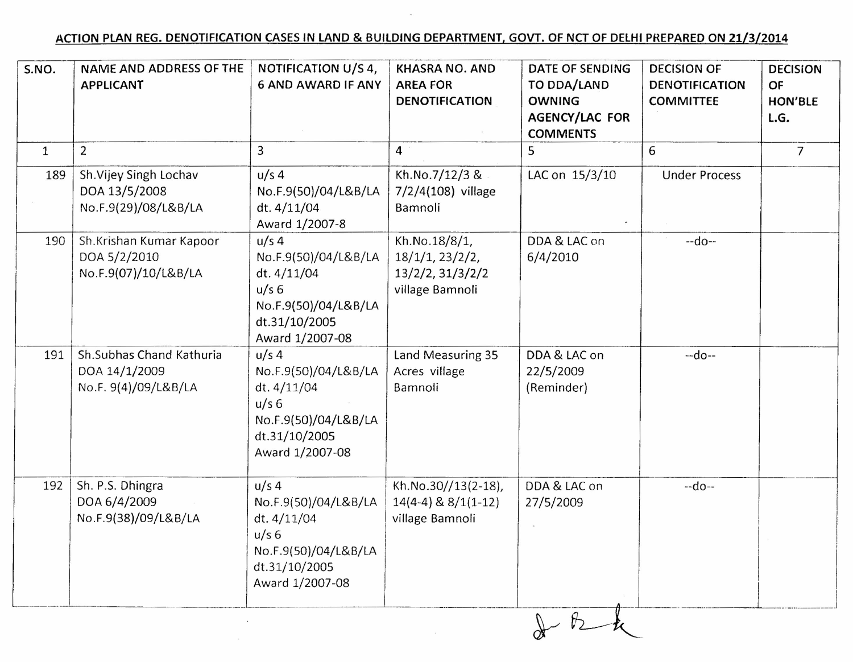## ACTION PLAN REG. DENOTIFICATION CASESIN LAND & BUILDING DEPARTMENT, GOVT. OF NCT OF DElHI PREPARED ON 21/3/2014

| S.NO.        | NAME AND ADDRESS OF THE<br><b>APPLICANT</b>                       | NOTIFICATION U/S 4,<br><b>6 AND AWARD IF ANY</b>                                                                               | <b>KHASRA NO. AND</b><br><b>AREA FOR</b><br><b>DENOTIFICATION</b>       | <b>DATE OF SENDING</b><br>TO DDA/LAND<br><b>OWNING</b><br><b>AGENCY/LAC FOR</b><br><b>COMMENTS</b> | <b>DECISION OF</b><br><b>DENOTIFICATION</b><br><b>COMMITTEE</b> | <b>DECISION</b><br>OF<br><b>HON'BLE</b><br>L.G. |
|--------------|-------------------------------------------------------------------|--------------------------------------------------------------------------------------------------------------------------------|-------------------------------------------------------------------------|----------------------------------------------------------------------------------------------------|-----------------------------------------------------------------|-------------------------------------------------|
| $\mathbf{1}$ | $\overline{2}$                                                    | 3                                                                                                                              | $\overline{4}$                                                          | 5                                                                                                  | 6                                                               | $\overline{7}$                                  |
| 189          | Sh.Vijey Singh Lochav<br>DOA 13/5/2008<br>No.F.9(29)/08/L&B/LA    | $u/s$ 4<br>No.F.9(50)/04/L&B/LA<br>dt. 4/11/04<br>Award 1/2007-8                                                               | Kh.No.7/12/3 &<br>7/2/4(108) village<br>Bamnoli                         | LAC on 15/3/10                                                                                     | <b>Under Process</b>                                            |                                                 |
| 190          | Sh.Krishan Kumar Kapoor<br>DOA 5/2/2010<br>No.F.9(07)/10/L&B/LA   | $u/s$ 4<br>No.F.9(50)/04/L&B/LA<br>dt. 4/11/04<br>u/s <sub>6</sub><br>No.F.9(50)/04/L&B/LA<br>dt.31/10/2005<br>Award 1/2007-08 | Kh.No.18/8/1,<br>18/1/1, 23/2/2,<br>13/2/2, 31/3/2/2<br>village Bamnoli | DDA & LAC on<br>6/4/2010                                                                           | $-do-$                                                          |                                                 |
| 191          | Sh.Subhas Chand Kathuria<br>DOA 14/1/2009<br>No.F. 9(4)/09/L&B/LA | $u/s$ 4<br>No.F.9(50)/04/L&B/LA<br>dt. 4/11/04<br>$u/s$ 6<br>No.F.9(50)/04/L&B/LA<br>dt.31/10/2005<br>Award 1/2007-08          | Land Measuring 35<br>Acres village<br>Bamnoli                           | DDA & LAC on<br>22/5/2009<br>(Reminder)                                                            | $-do-$                                                          |                                                 |
| 192          | Sh. P.S. Dhingra<br>DOA 6/4/2009<br>No.F.9(38)/09/L&B/LA          | $u/s$ 4<br>No.F.9(50)/04/L&B/LA<br>dt. 4/11/04<br>$u/s$ 6<br>No.F.9(50)/04/L&B/LA<br>dt.31/10/2005<br>Award 1/2007-08          | Kh.No.30//13(2-18),<br>$14(4-4)$ & $8/1(1-12)$<br>village Bamnoli       | DDA & LAC on<br>27/5/2009                                                                          | $-do-$                                                          |                                                 |